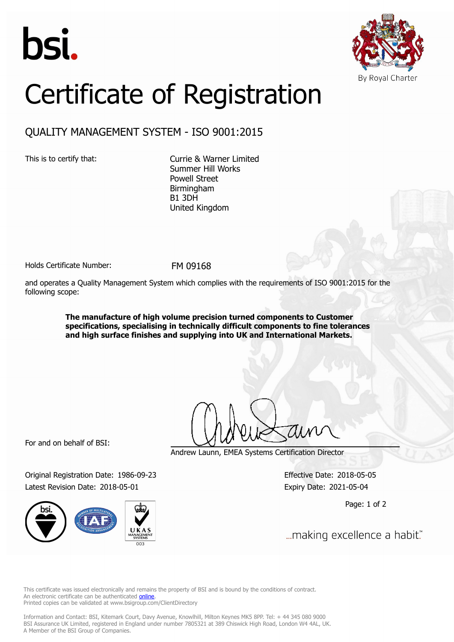



## Certificate of Registration

## QUALITY MANAGEMENT SYSTEM - ISO 9001:2015

This is to certify that: Currie & Warner Limited Summer Hill Works Powell Street Birmingham B1 3DH United Kingdom

Holds Certificate Number: FM 09168

and operates a Quality Management System which complies with the requirements of ISO 9001:2015 for the following scope:

> **The manufacture of high volume precision turned components to Customer specifications, specialising in technically difficult components to fine tolerances and high surface finishes and supplying into UK and International Markets.**

For and on behalf of BSI:

Original Registration Date: 1986-09-23 Effective Date: 2018-05-05 Latest Revision Date: 2018-05-01 Expiry Date: 2021-05-04



Andrew Launn, EMEA Systems Certification Director

Page: 1 of 2

... making excellence a habit."

This certificate was issued electronically and remains the property of BSI and is bound by the conditions of contract. An electronic certificate can be authenticated **[online](https://pgplus.bsigroup.com/CertificateValidation/CertificateValidator.aspx?CertificateNumber=FM+09168&ReIssueDate=01%2f05%2f2018&Template=uk)**. Printed copies can be validated at www.bsigroup.com/ClientDirectory

Information and Contact: BSI, Kitemark Court, Davy Avenue, Knowlhill, Milton Keynes MK5 8PP. Tel: + 44 345 080 9000 BSI Assurance UK Limited, registered in England under number 7805321 at 389 Chiswick High Road, London W4 4AL, UK. A Member of the BSI Group of Companies.